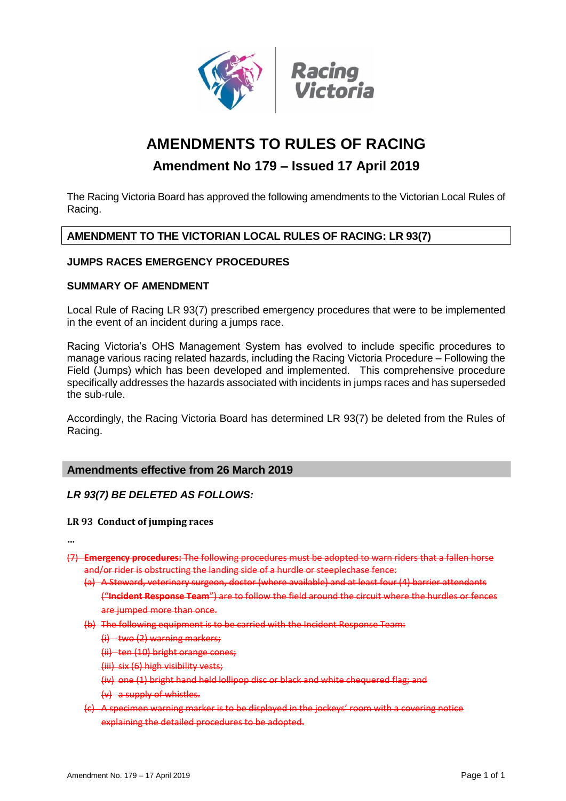

# **AMENDMENTS TO RULES OF RACING**

## **Amendment No 179 – Issued 17 April 2019**

The Racing Victoria Board has approved the following amendments to the Victorian Local Rules of Racing.

### **AMENDMENT TO THE VICTORIAN LOCAL RULES OF RACING: LR 93(7)**

#### **JUMPS RACES EMERGENCY PROCEDURES**

#### **SUMMARY OF AMENDMENT**

Local Rule of Racing LR 93(7) prescribed emergency procedures that were to be implemented in the event of an incident during a jumps race.

Racing Victoria's OHS Management System has evolved to include specific procedures to manage various racing related hazards, including the Racing Victoria Procedure – Following the Field (Jumps) which has been developed and implemented. This comprehensive procedure specifically addresses the hazards associated with incidents in jumps races and has superseded the sub-rule.

Accordingly, the Racing Victoria Board has determined LR 93(7) be deleted from the Rules of Racing.

#### **Amendments effective from 26 March 2019**

#### *LR 93(7) BE DELETED AS FOLLOWS:*

#### **LR 93 Conduct of jumping races**

**…**

- (7) **Emergency procedures:** The following procedures must be adopted to warn riders that a fallen horse and/or rider is obstructing the landing side of a hurdle or steeplechase fence:
	- (a) A Steward, veterinary surgeon, doctor (where available) and at least four (4) barrier attendants ("**Incident Response Team**") are to follow the field around the circuit where the hurdles or fences are jumped more than once.
	- (b) The following equipment is to be carried with the Incident Response Team:
		- $(i)$  two  $(2)$  warning markers;
		- (ii) ten (10) bright orange cones;
		- (iii) six (6) high visibility vests;
		- (iv) one (1) bright hand held lollipop disc or black and white chequered flag; and
		- (v) a supply of whistles.
	- (c) A specimen warning marker is to be displayed in the jockeys' room with a covering notice explaining the detailed procedures to be adopted.